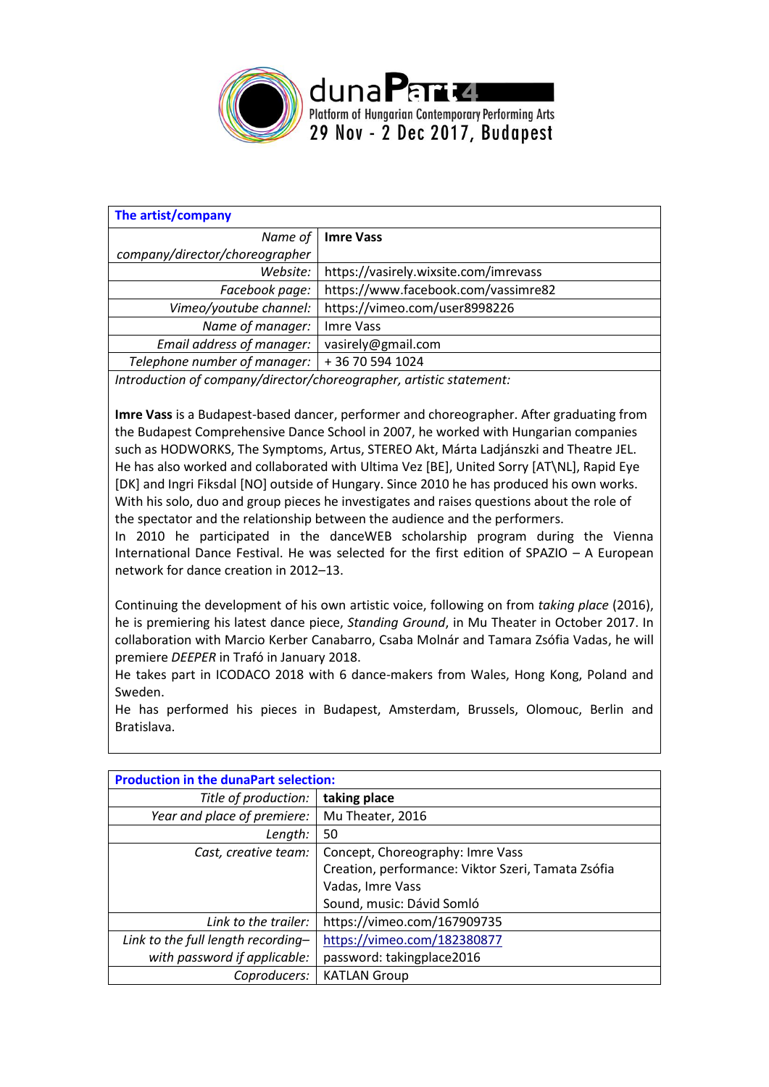

| The artist/company             |                                       |  |
|--------------------------------|---------------------------------------|--|
|                                | Name of   Imre Vass                   |  |
| company/director/choreographer |                                       |  |
| Website:                       | https://vasirely.wixsite.com/imrevass |  |
| Facebook page:                 | https://www.facebook.com/vassimre82   |  |
| Vimeo/youtube channel:         | https://vimeo.com/user8998226         |  |
| Name of manager:               | Imre Vass                             |  |
| Email address of manager:      | vasirely@gmail.com                    |  |
| Telephone number of manager:   | +36 70 594 1024                       |  |

*Introduction of company/director/choreographer, artistic statement:*

**Imre Vass** is a Budapest-based dancer, performer and choreographer. After graduating from the Budapest Comprehensive Dance School in 2007, he worked with Hungarian companies such as HODWORKS, The Symptoms, Artus, STEREO Akt, Márta Ladjánszki and Theatre JEL. He has also worked and collaborated with Ultima Vez [BE], United Sorry [AT\NL], Rapid Eye [DK] and Ingri Fiksdal [NO] outside of Hungary. Since 2010 he has produced his own works. With his solo, duo and group pieces he investigates and raises questions about the role of the spectator and the relationship between the audience and the performers. In 2010 he participated in the danceWEB scholarship program during the Vienna

International Dance Festival. He was selected for the first edition of SPAZIO – A European network for dance creation in 2012–13.

Continuing the development of his own artistic voice, following on from *taking place* (2016), he is premiering his latest dance piece, *Standing Ground*, in Mu Theater in October 2017. In collaboration with Marcio Kerber Canabarro, Csaba Molnár and Tamara Zsófia Vadas, he will premiere *DEEPER* in Trafó in January 2018.

He takes part in ICODACO 2018 with 6 dance-makers from Wales, Hong Kong, Poland and Sweden.

He has performed his pieces in Budapest, Amsterdam, Brussels, Olomouc, Berlin and Bratislava.

| <b>Production in the dunaPart selection:</b> |                                                    |
|----------------------------------------------|----------------------------------------------------|
| Title of production:                         | taking place                                       |
| Year and place of premiere:                  | Mu Theater, 2016                                   |
| Length:                                      | 50                                                 |
| Cast, creative team:                         | Concept, Choreography: Imre Vass                   |
|                                              | Creation, performance: Viktor Szeri, Tamata Zsófia |
|                                              | Vadas, Imre Vass                                   |
|                                              | Sound, music: Dávid Somló                          |
| Link to the trailer:                         | https://vimeo.com/167909735                        |
| Link to the full length recording-           | https://vimeo.com/182380877                        |
| with password if applicable:                 | password: takingplace2016                          |
| Coproducers:                                 | <b>KATLAN Group</b>                                |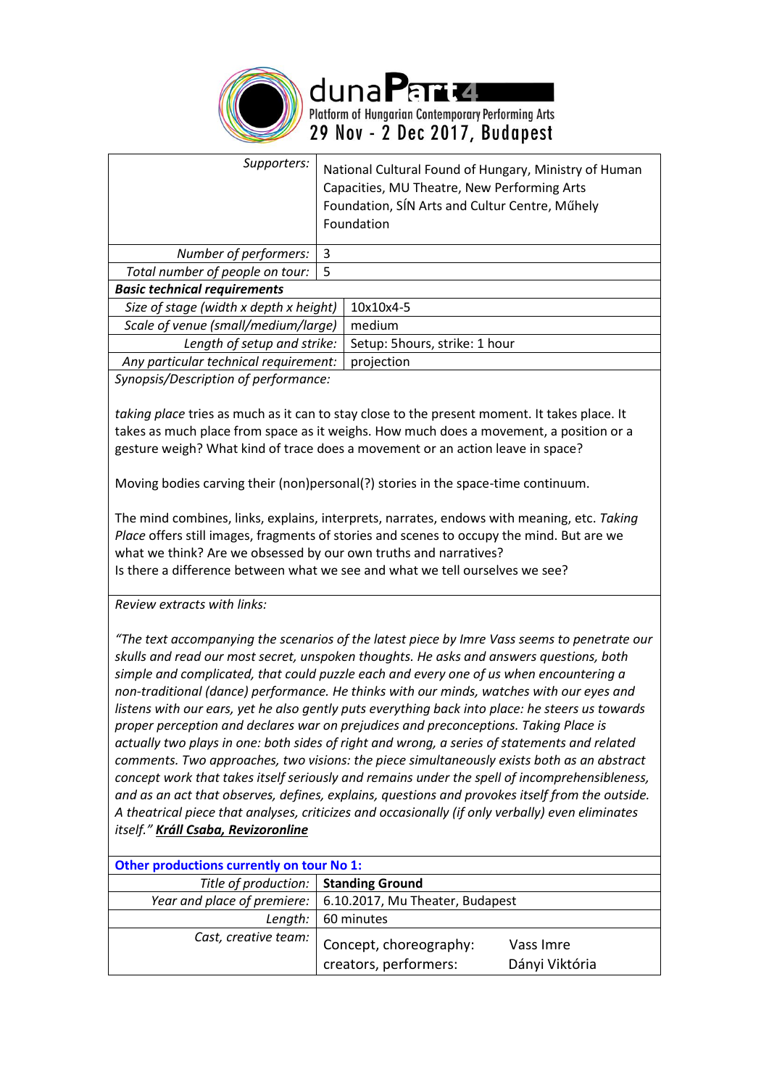

| Supporters:                            |    | National Cultural Found of Hungary, Ministry of Human<br>Capacities, MU Theatre, New Performing Arts<br>Foundation, SÍN Arts and Cultur Centre, Műhely<br>Foundation |
|----------------------------------------|----|----------------------------------------------------------------------------------------------------------------------------------------------------------------------|
| Number of performers:                  | 3  |                                                                                                                                                                      |
| Total number of people on tour:        | -5 |                                                                                                                                                                      |
| <b>Basic technical requirements</b>    |    |                                                                                                                                                                      |
| Size of stage (width x depth x height) |    | 10x10x4-5                                                                                                                                                            |
| Scale of venue (small/medium/large)    |    | medium                                                                                                                                                               |
| Length of setup and strike:            |    | Setup: 5hours, strike: 1 hour                                                                                                                                        |
| Any particular technical requirement:  |    | projection                                                                                                                                                           |

*Synopsis/Description of performance:*

*taking place* tries as much as it can to stay close to the present moment. It takes place. It takes as much place from space as it weighs. How much does a movement, a position or a gesture weigh? What kind of trace does a movement or an action leave in space?

Moving bodies carving their (non)personal(?) stories in the space-time continuum.

The mind combines, links, explains, interprets, narrates, endows with meaning, etc. *Taking Place* offers still images, fragments of stories and scenes to occupy the mind. But are we what we think? Are we obsessed by our own truths and narratives? Is there a difference between what we see and what we tell ourselves we see?

*Review extracts with links:*

*"The text accompanying the scenarios of the latest piece by Imre Vass seems to penetrate our skulls and read our most secret, unspoken thoughts. He asks and answers questions, both simple and complicated, that could puzzle each and every one of us when encountering a non-traditional (dance) performance. He thinks with our minds, watches with our eyes and listens with our ears, yet he also gently puts everything back into place: he steers us towards proper perception and declares war on prejudices and preconceptions. Taking Place is actually two plays in one: both sides of right and wrong, a series of statements and related comments. Two approaches, two visions: the piece simultaneously exists both as an abstract concept work that takes itself seriously and remains under the spell of incomprehensibleness, and as an act that observes, defines, explains, questions and provokes itself from the outside. A theatrical piece that analyses, criticizes and occasionally (if only verbally) even eliminates itself." [Králl Csaba, Revizoronline](http://www.revizoronline.com/hu/cikk/6177/vass-imre-taking-place-mu-szinhaz/)*

| Other productions currently on tour No 1: |                                                               |                             |
|-------------------------------------------|---------------------------------------------------------------|-----------------------------|
| Title of production:   Standing Ground    |                                                               |                             |
|                                           | Year and place of premiere:   6.10.2017, Mu Theater, Budapest |                             |
| Length:                                   | 60 minutes                                                    |                             |
| Cast, creative team:                      | Concept, choreography:<br>creators, performers:               | Vass Imre<br>Dányi Viktória |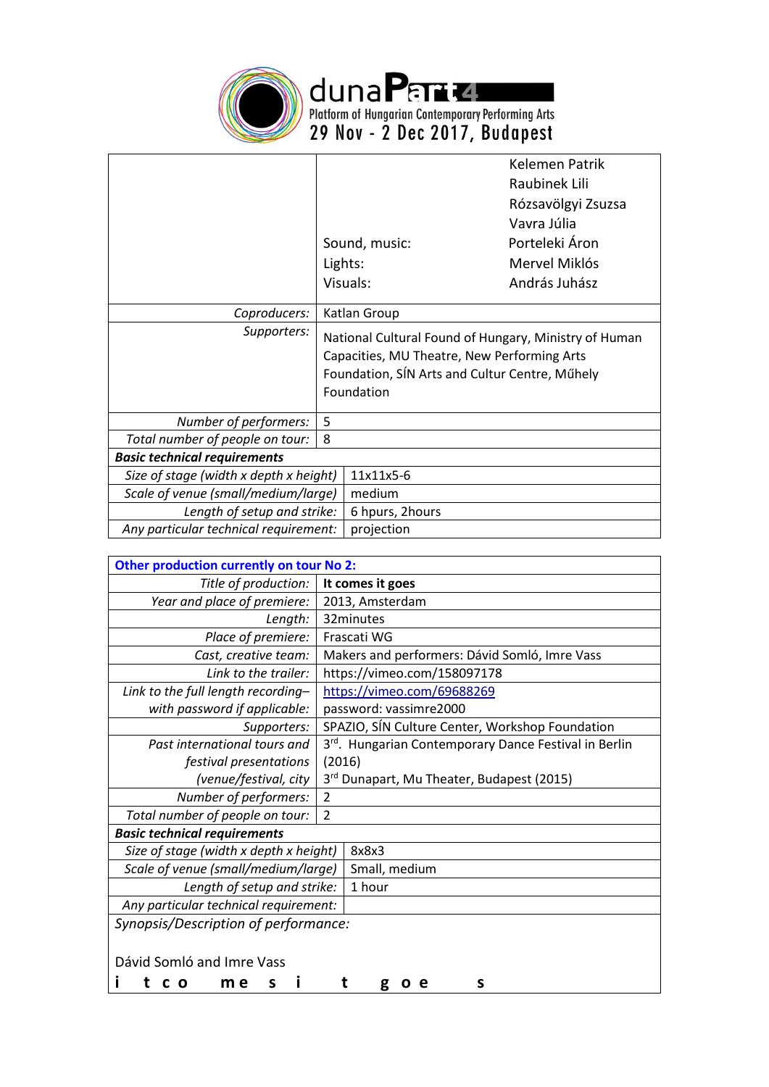

duna Partie Le Bernard Practice Platform of Hungarian Contemporary Performing Arts<br>29 Nov - 2 Dec 2017, Budapest

|                                        |   |                 | Kelemen Patrik                                                                                                                                         |
|----------------------------------------|---|-----------------|--------------------------------------------------------------------------------------------------------------------------------------------------------|
|                                        |   |                 | Raubinek Lili                                                                                                                                          |
|                                        |   |                 | Rózsavölgyi Zsuzsa                                                                                                                                     |
|                                        |   |                 | Vavra Júlia                                                                                                                                            |
|                                        |   | Sound, music:   | Porteleki Áron                                                                                                                                         |
|                                        |   | Lights:         | Mervel Miklós                                                                                                                                          |
|                                        |   | Visuals:        | András Juhász                                                                                                                                          |
| Coproducers:                           |   | Katlan Group    |                                                                                                                                                        |
| Supporters:                            |   | Foundation      | National Cultural Found of Hungary, Ministry of Human<br>Capacities, MU Theatre, New Performing Arts<br>Foundation, SÍN Arts and Cultur Centre, Műhely |
| Number of performers:                  | 5 |                 |                                                                                                                                                        |
| Total number of people on tour:        | 8 |                 |                                                                                                                                                        |
| <b>Basic technical requirements</b>    |   |                 |                                                                                                                                                        |
| Size of stage (width x depth x height) |   | 11x11x5-6       |                                                                                                                                                        |
| Scale of venue (small/medium/large)    |   | medium          |                                                                                                                                                        |
| Length of setup and strike:            |   | 6 hpurs, 2hours |                                                                                                                                                        |
| Any particular technical requirement:  |   | projection      |                                                                                                                                                        |

| Other production currently on tour No 2: |                                                       |  |
|------------------------------------------|-------------------------------------------------------|--|
| Title of production:                     | It comes it goes                                      |  |
| Year and place of premiere:              | 2013, Amsterdam                                       |  |
| Length:                                  | 32minutes                                             |  |
| Place of premiere:                       | Frascati WG                                           |  |
| Cast, creative team:                     | Makers and performers: Dávid Somló, Imre Vass         |  |
| Link to the trailer:                     | https://vimeo.com/158097178                           |  |
| Link to the full length recording-       | https://vimeo.com/69688269                            |  |
| with password if applicable:             | password: vassimre2000                                |  |
| Supporters:                              | SPAZIO, SÍN Culture Center, Workshop Foundation       |  |
| Past international tours and             | 3rd. Hungarian Contemporary Dance Festival in Berlin  |  |
| festival presentations                   | (2016)                                                |  |
| (venue/festival, city                    | 3 <sup>rd</sup> Dunapart, Mu Theater, Budapest (2015) |  |
| Number of performers:                    | $\overline{2}$                                        |  |
| Total number of people on tour:          | $\overline{2}$                                        |  |
| <b>Basic technical requirements</b>      |                                                       |  |
| Size of stage (width x depth x height)   | 8x8x3                                                 |  |
| Scale of venue (small/medium/large)      | Small, medium                                         |  |
| Length of setup and strike:              | 1 hour                                                |  |
| Any particular technical requirement:    |                                                       |  |
| Synopsis/Description of performance:     |                                                       |  |
|                                          |                                                       |  |
| Dávid Somló and Imre Vass                |                                                       |  |
| m e<br>s<br>O                            | s<br>g<br>е                                           |  |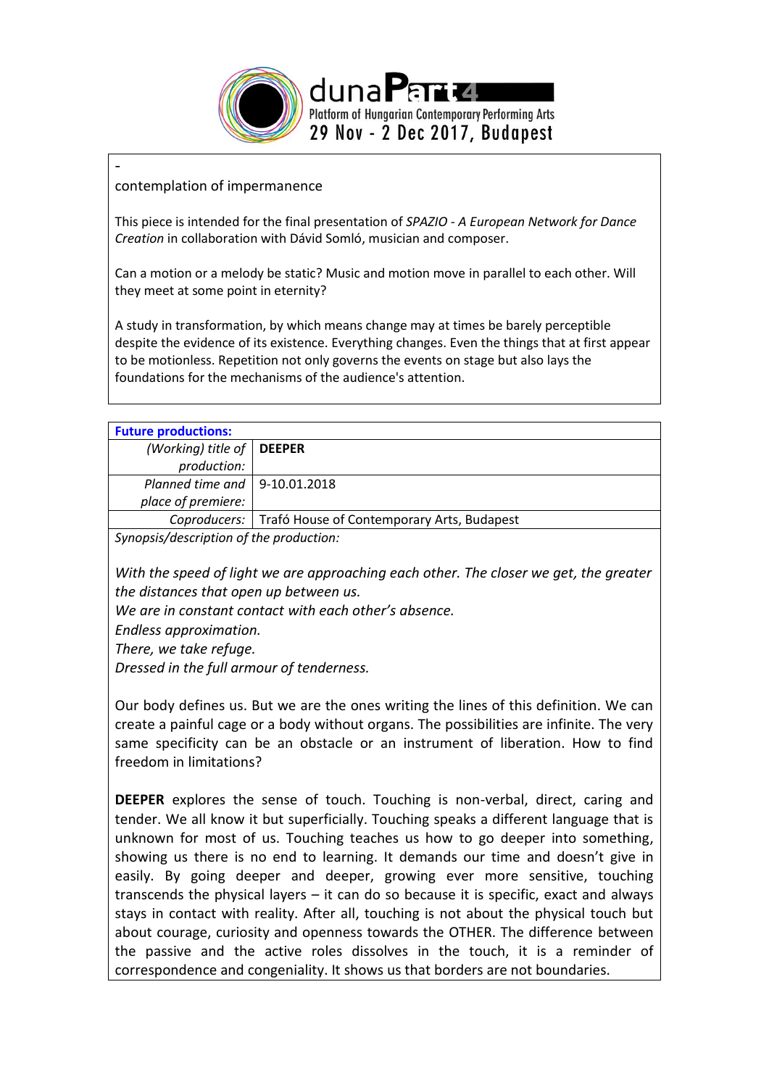

## contemplation of impermanence

-

This piece is intended for the final presentation of *SPAZIO - A European Network for Dance Creation* in collaboration with Dávid Somló, musician and composer.

Can a motion or a melody be static? Music and motion move in parallel to each other. Will they meet at some point in eternity?

A study in transformation, by which means change may at times be barely perceptible despite the evidence of its existence. Everything changes. Even the things that at first appear to be motionless. Repetition not only governs the events on stage but also lays the foundations for the mechanisms of the audience's attention.

| <b>Future productions:</b>              |                                                           |
|-----------------------------------------|-----------------------------------------------------------|
| (Working) title of $\vert$ DEEPER       |                                                           |
| production:                             |                                                           |
| Planned time and $\vert$ 9-10.01.2018   |                                                           |
| place of premiere:                      |                                                           |
|                                         | Coproducers:   Trafó House of Contemporary Arts, Budapest |
| Synopsis/description of the production: |                                                           |

*With the speed of light we are approaching each other. The closer we get, the greater the distances that open up between us.*

*We are in constant contact with each other's absence.*

*Endless approximation.* 

*There, we take refuge.*

*Dressed in the full armour of tenderness.*

Our body defines us. But we are the ones writing the lines of this definition. We can create a painful cage or a body without organs. The possibilities are infinite. The very same specificity can be an obstacle or an instrument of liberation. How to find freedom in limitations?

**DEEPER** explores the sense of touch. Touching is non-verbal, direct, caring and tender. We all know it but superficially. Touching speaks a different language that is unknown for most of us. Touching teaches us how to go deeper into something, showing us there is no end to learning. It demands our time and doesn't give in easily. By going deeper and deeper, growing ever more sensitive, touching transcends the physical layers – it can do so because it is specific, exact and always stays in contact with reality. After all, touching is not about the physical touch but about courage, curiosity and openness towards the OTHER. The difference between the passive and the active roles dissolves in the touch, it is a reminder of correspondence and congeniality. It shows us that borders are not boundaries.